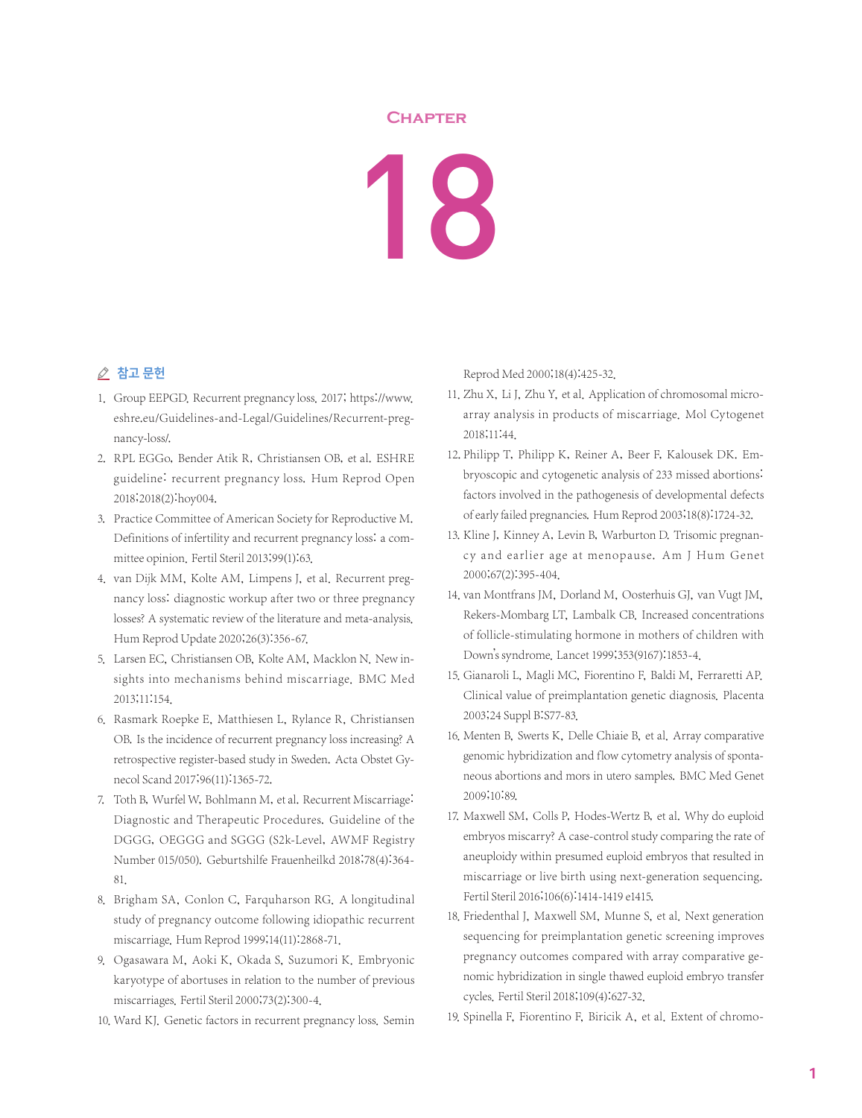## **Chapter**

## 18

## △ 참고 문헌

- 1. Group EEPGD. Recurrent pregnancy loss. 2017; https://www. eshre.eu/Guidelines-and-Legal/Guidelines/Recurrent-pregnancy-loss/.
- 2. RPL EGGo, Bender Atik R, Christiansen OB, et al. ESHRE guideline: recurrent pregnancy loss. Hum Reprod Open 2018;2018(2):hoy004.
- 3. Practice Committee of American Society for Reproductive M. Definitions of infertility and recurrent pregnancy loss: a committee opinion. Fertil Steril 2013;99(1):63.
- 4. van Dijk MM, Kolte AM, Limpens J, et al. Recurrent pregnancy loss: diagnostic workup after two or three pregnancy losses? A systematic review of the literature and meta-analysis. Hum Reprod Update 2020;26(3):356-67.
- 5. Larsen EC, Christiansen OB, Kolte AM, Macklon N. New insights into mechanisms behind miscarriage. BMC Med 2013;11:154.
- 6. Rasmark Roepke E, Matthiesen L, Rylance R, Christiansen OB. Is the incidence of recurrent pregnancy loss increasing? A retrospective register-based study in Sweden. Acta Obstet Gynecol Scand 2017;96(11):1365-72.
- 7. Toth B, Wurfel W, Bohlmann M, et al. Recurrent Miscarriage: Diagnostic and Therapeutic Procedures. Guideline of the DGGG, OEGGG and SGGG (S2k-Level, AWMF Registry Number 015/050). Geburtshilfe Frauenheilkd 2018;78(4):364- 81.
- 8. Brigham SA, Conlon C, Farquharson RG. A longitudinal study of pregnancy outcome following idiopathic recurrent miscarriage. Hum Reprod 1999;14(11):2868-71.
- 9. Ogasawara M, Aoki K, Okada S, Suzumori K. Embryonic karyotype of abortuses in relation to the number of previous miscarriages. Fertil Steril 2000;73(2):300-4.
- 10. Ward KJ. Genetic factors in recurrent pregnancy loss. Semin

Reprod Med 2000;18(4):425-32.

- 11. Zhu X, Li J, Zhu Y, et al. Application of chromosomal microarray analysis in products of miscarriage. Mol Cytogenet 2018;11:44.
- 12. Philipp T, Philipp K, Reiner A, Beer F, Kalousek DK. Embryoscopic and cytogenetic analysis of 233 missed abortions: factors involved in the pathogenesis of developmental defects of early failed pregnancies. Hum Reprod 2003;18(8):1724-32.
- 13. Kline J, Kinney A, Levin B, Warburton D. Trisomic pregnancy and earlier age at menopause. Am J Hum Genet 2000;67(2):395-404.
- 14. van Montfrans JM, Dorland M, Oosterhuis GJ, van Vugt JM, Rekers-Mombarg LT, Lambalk CB. Increased concentrations of follicle-stimulating hormone in mothers of children with Down's syndrome. Lancet 1999;353(9167):1853-4.
- 15. Gianaroli L, Magli MC, Fiorentino F, Baldi M, Ferraretti AP. Clinical value of preimplantation genetic diagnosis. Placenta 2003;24 Suppl B:S77-83.
- 16. Menten B, Swerts K, Delle Chiaie B, et al. Array comparative genomic hybridization and flow cytometry analysis of spontaneous abortions and mors in utero samples. BMC Med Genet 2009;10:89.
- 17. Maxwell SM, Colls P, Hodes-Wertz B, et al. Why do euploid embryos miscarry? A case-control study comparing the rate of aneuploidy within presumed euploid embryos that resulted in miscarriage or live birth using next-generation sequencing. Fertil Steril 2016;106(6):1414-1419 e1415.
- 18. Friedenthal J, Maxwell SM, Munne S, et al. Next generation sequencing for preimplantation genetic screening improves pregnancy outcomes compared with array comparative genomic hybridization in single thawed euploid embryo transfer cycles. Fertil Steril 2018;109(4):627-32.
- 19. Spinella F, Fiorentino F, Biricik A, et al. Extent of chromo-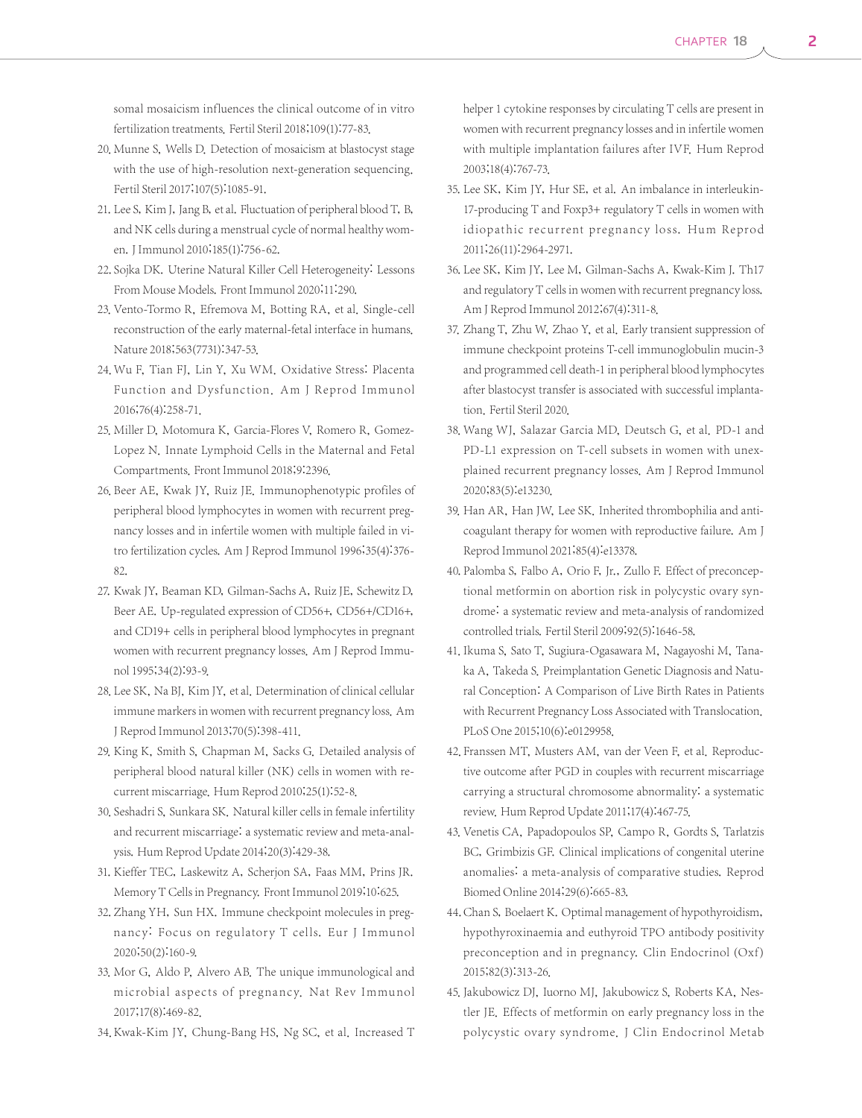somal mosaicism influences the clinical outcome of in vitro fertilization treatments. Fertil Steril 2018;109(1):77-83.

- 20. Munne S, Wells D. Detection of mosaicism at blastocyst stage with the use of high-resolution next-generation sequencing. Fertil Steril 2017;107(5):1085-91.
- 21. Lee S, Kim J, Jang B, et al. Fluctuation of peripheral blood T, B, and NK cells during a menstrual cycle of normal healthy women.J Immunol 2010;185(1):756-62.
- 22. Sojka DK. Uterine Natural Killer Cell Heterogeneity: Lessons From Mouse Models. Front Immunol 2020;11:290.
- 23. Vento-Tormo R, Efremova M, Botting RA, et al. Single-cell reconstruction of the early maternal-fetal interface in humans. Nature 2018;563(7731):347-53.
- 24. Wu F, Tian FJ, Lin Y, Xu WM. Oxidative Stress: Placenta Function and Dysfunction. Am J Reprod Immunol 2016;76(4):258-71.
- 25. Miller D, Motomura K, Garcia-Flores V, Romero R, Gomez-Lopez N. Innate Lymphoid Cells in the Maternal and Fetal Compartments. Front Immunol 2018;9:2396.
- 26. Beer AE, Kwak JY, Ruiz JE. Immunophenotypic profiles of peripheral blood lymphocytes in women with recurrent pregnancy losses and in infertile women with multiple failed in vitro fertilization cycles. Am J Reprod Immunol 1996;35(4):376- 82.
- 27. Kwak JY, Beaman KD, Gilman-Sachs A, Ruiz JE, Schewitz D, Beer AE. Up-regulated expression of CD56+, CD56+/CD16+, and CD19+ cells in peripheral blood lymphocytes in pregnant women with recurrent pregnancy losses. Am J Reprod Immunol 1995;34(2):93-9.
- 28. Lee SK, Na BJ, Kim JY, et al. Determination of clinical cellular immune markers in women with recurrent pregnancy loss. Am J Reprod Immunol 2013;70(5):398-411.
- 29. King K, Smith S, Chapman M, Sacks G. Detailed analysis of peripheral blood natural killer (NK) cells in women with recurrent miscarriage. Hum Reprod 2010;25(1):52-8.
- 30. Seshadri S, Sunkara SK. Natural killer cells in female infertility and recurrent miscarriage: a systematic review and meta-analysis. Hum Reprod Update 2014;20(3):429-38.
- 31. Kieffer TEC, Laskewitz A, Scherjon SA, Faas MM, Prins JR. Memory T Cells in Pregnancy. Front Immunol 2019;10:625.
- 32. Zhang YH, Sun HX. Immune checkpoint molecules in pregnancy: Focus on regulatory T cells. Eur J Immunol 2020;50(2):160-9.
- 33. Mor G, Aldo P, Alvero AB. The unique immunological and microbial aspects of pregnancy. Nat Rev Immunol 2017;17(8):469-82.
- 34. Kwak-Kim JY, Chung-Bang HS, Ng SC, et al. Increased T

helper 1 cytokine responses by circulating T cells are present in women with recurrent pregnancy losses and in infertile women with multiple implantation failures after IVF. Hum Reprod 2003;18(4):767-73.

- 35. Lee SK, Kim JY, Hur SE, et al. An imbalance in interleukin-17-producing T and Foxp3+ regulatory T cells in women with idiopathic recurrent pregnancy loss. Hum Reprod 2011;26(11):2964-2971.
- 36. Lee SK, Kim JY, Lee M, Gilman-Sachs A, Kwak-Kim J. Th17 and regulatory T cells in women with recurrent pregnancy loss. Am J Reprod Immunol 2012;67(4):311-8.
- 37. Zhang T, Zhu W, Zhao Y, et al. Early transient suppression of immune checkpoint proteins T-cell immunoglobulin mucin-3 and programmed cell death-1 in peripheral blood lymphocytes after blastocyst transfer is associated with successful implantation. Fertil Steril 2020.
- 38. Wang WJ, Salazar Garcia MD, Deutsch G, et al. PD-1 and PD-L1 expression on T-cell subsets in women with unexplained recurrent pregnancy losses. Am J Reprod Immunol 2020;83(5):e13230.
- 39. Han AR, Han JW, Lee SK. Inherited thrombophilia and anticoagulant therapy for women with reproductive failure. Am J Reprod Immunol 2021;85(4):e13378.
- 40. Palomba S, Falbo A, Orio F, Jr., Zullo F. Effect of preconceptional metformin on abortion risk in polycystic ovary syndrome: a systematic review and meta-analysis of randomized controlled trials. Fertil Steril 2009;92(5):1646-58.
- 41. Ikuma S, Sato T, Sugiura-Ogasawara M, Nagayoshi M, Tanaka A, Takeda S. Preimplantation Genetic Diagnosis and Natural Conception: A Comparison of Live Birth Rates in Patients with Recurrent Pregnancy Loss Associated with Translocation. PLoS One 2015;10(6):e0129958.
- 42. Franssen MT, Musters AM, van der Veen F, et al. Reproductive outcome after PGD in couples with recurrent miscarriage carrying a structural chromosome abnormality: a systematic review. Hum Reprod Update 2011;17(4):467-75.
- 43. Venetis CA, Papadopoulos SP, Campo R, Gordts S, Tarlatzis BC, Grimbizis GF. Clinical implications of congenital uterine anomalies: a meta-analysis of comparative studies. Reprod Biomed Online 2014;29(6):665-83.
- 44. Chan S, Boelaert K. Optimal management of hypothyroidism, hypothyroxinaemia and euthyroid TPO antibody positivity preconception and in pregnancy. Clin Endocrinol (Oxf) 2015;82(3):313-26.
- 45. Jakubowicz DJ, Iuorno MJ, Jakubowicz S, Roberts KA, Nestler JE. Effects of metformin on early pregnancy loss in the polycystic ovary syndrome. J Clin Endocrinol Metab